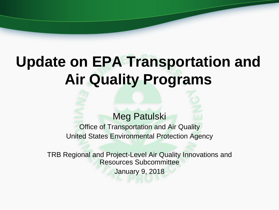# **Update on EPA Transportation and Air Quality Programs**

#### Meg Patulski

Office of Transportation and Air Quality United States Environmental Protection Agency

TRB Regional and Project-Level Air Quality Innovations and Resources Subcommittee January 9, 2018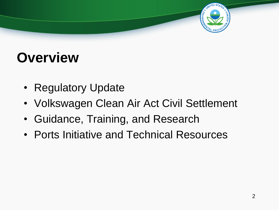### **Overview**

- Regulatory Update
- Volkswagen Clean Air Act Civil Settlement
- Guidance, Training, and Research
- Ports Initiative and Technical Resources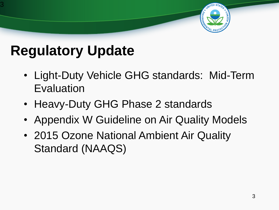### **Regulatory Update**

3

- Light-Duty Vehicle GHG standards: Mid-Term Evaluation
- Heavy-Duty GHG Phase 2 standards
- Appendix W Guideline on Air Quality Models
- 2015 Ozone National Ambient Air Quality Standard (NAAQS)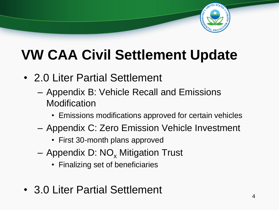

## **VW CAA Civil Settlement Update**

- 2.0 Liter Partial Settlement
	- Appendix B: Vehicle Recall and Emissions **Modification** 
		- Emissions modifications approved for certain vehicles
	- Appendix C: Zero Emission Vehicle Investment
		- First 30-month plans approved
	- $-$  Appendix D: NO<sub>x</sub> Mitigation Trust
		- Finalizing set of beneficiaries
- 3.0 Liter Partial Settlement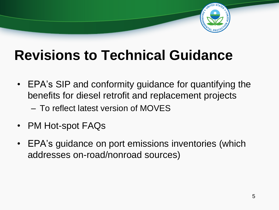

### **Revisions to Technical Guidance**

- EPA's SIP and conformity guidance for quantifying the benefits for diesel retrofit and replacement projects
	- To reflect latest version of MOVES
- PM Hot-spot FAQs
- EPA's guidance on port emissions inventories (which addresses on-road/nonroad sources)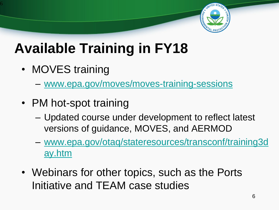

### **Available Training in FY18**

• MOVES training

6

- [www.epa.gov/moves/moves-training-sessions](http://www.epa.gov/moves/moves-training-sessions)
- PM hot-spot training
	- Updated course under development to reflect latest versions of guidance, MOVES, and AERMOD
	- [www.epa.gov/otaq/stateresources/transconf/training3d](http://www.epa.gov/otaq/stateresources/transconf/training3day.htm) ay.htm
- Webinars for other topics, such as the Ports Initiative and TEAM case studies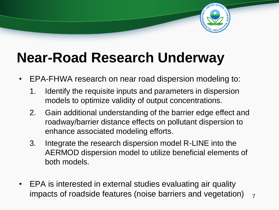

### **Near-Road Research Underway**

- EPA-FHWA research on near road dispersion modeling to:
	- 1. Identify the requisite inputs and parameters in dispersion models to optimize validity of output concentrations.
	- 2. Gain additional understanding of the barrier edge effect and roadway/barrier distance effects on pollutant dispersion to enhance associated modeling efforts.
	- 3. Integrate the research dispersion model R-LINE into the AERMOD dispersion model to utilize beneficial elements of both models.
- EPA is interested in external studies evaluating air quality impacts of roadside features (noise barriers and vegetation)  $\overline{7}$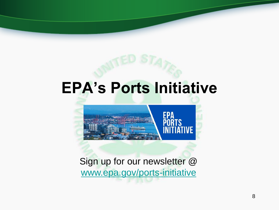## **EPA's Ports Initiative**



Sign up for our newsletter @ [www.epa.gov/ports-initiative](http://www.epa.gov/ports-initiative)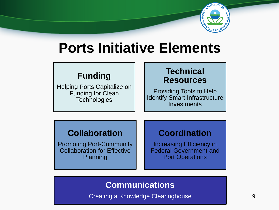

### **Ports Initiative Elements**

#### **Funding**

Helping Ports Capitalize on Funding for Clean **Technologies** 

#### **Technical Resources**

Providing Tools to Help Identify Smart Infrastructure **Investments** 

#### **Collaboration**

Promoting Port-Community Collaboration for Effective Planning

#### **Coordination**

Increasing Efficiency in Federal Government and Port Operations

#### **Communications**

Creating a Knowledge Clearinghouse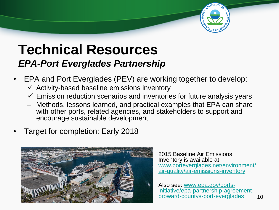

### **Technical Resources** *EPA-Port Everglades Partnership*

- EPA and Port Everglades (PEV) are working together to develop:
	- $\checkmark$  Activity-based baseline emissions inventory
	- $\checkmark$  Emission reduction scenarios and inventories for future analysis years
	- Methods, lessons learned, and practical examples that EPA can share with other ports, related agencies, and stakeholders to support and encourage sustainable development.
- Target for completion: Early 2018



2015 Baseline Air Emissions Inventory is available at: [www.porteverglades.net/environment/](http://www.porteverglades.net/environment/air-quality/air-emissions-inventory) air-quality/air-emissions-inventory

Also see: www.epa.gov/ports[initiative/epa-partnership-agreement](http://www.epa.gov/ports-initiative/epa-partnership-agreement-broward-countys-port-everglades)broward-countys-port-everglades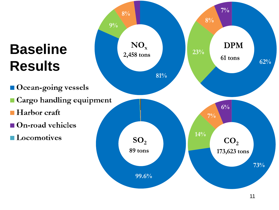## **Baseline Results**

- Ocean-going vessels
- Cargo handling equipment
- **Harbor** craft
- On-road vehicles
- **Locomotives**



11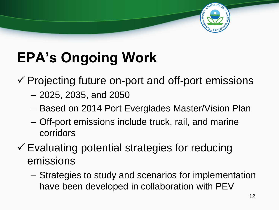# **EPA's Ongoing Work**

 $\checkmark$  Projecting future on-port and off-port emissions

- 2025, 2035, and 2050
- Based on 2014 Port Everglades Master/Vision Plan
- Off-port emissions include truck, rail, and marine corridors
- $\checkmark$  Evaluating potential strategies for reducing emissions
	- Strategies to study and scenarios for implementation have been developed in collaboration with PEV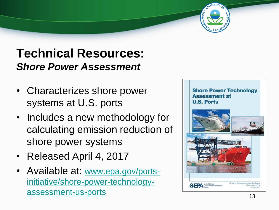### **Technical Resources:** *Shore Power Assessment*

- Characterizes shore power systems at U.S. ports
- Includes a new methodology for calculating emission reduction of shore power systems
- Released April 4, 2017
- Available at: www.epa.gov/ports[initiative/shore-power-technology](http://www.epa.gov/ports-initiative/shore-power-technology-assessment-us-ports)assessment-us-ports

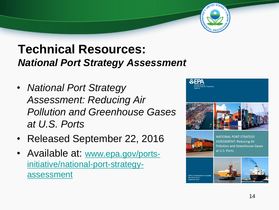### **Technical Resources:** *National Port Strategy Assessment*

- *National Port Strategy Assessment: Reducing Air Pollution and Greenhouse Gases at U.S. Ports*
- Released September 22, 2016
- Available at: www.epa.gov/ports[initiative/national-port-strategy](http://www.epa.gov/ports-initiative/national-port-strategy-assessment)assessment



at U.S. Ports

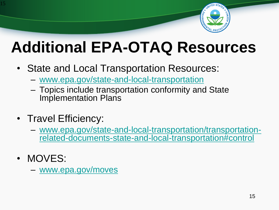

# **Additional EPA-OTAQ Resources**

- State and Local Transportation Resources:
	- [www.epa.gov/state-and-local-transportation](http://www.epa.gov/state-and-local-transportation)
	- Topics include transportation conformity and State Implementation Plans
- Travel Efficiency:
	- www.epa.gov/state-and-local-transportation/transportation[related-documents-state-and-local-transportation#control](http://www.epa.gov/state-and-local-transportation/transportation-related-documents-state-and-local-transportation#control)
- MOVES:

15

– [www.epa.gov/moves](http://www.epa.gov/moves)